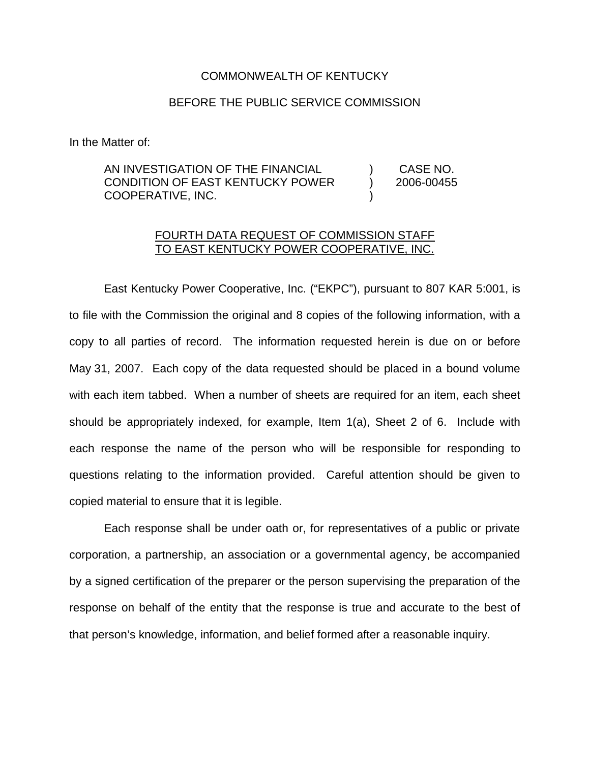## COMMONWEALTH OF KENTUCKY

## BEFORE THE PUBLIC SERVICE COMMISSION

In the Matter of:

## AN INVESTIGATION OF THE FINANCIAL CONDITION OF EAST KENTUCKY POWER COOPERATIVE, INC. ) CASE NO. ) 2006-00455 )

## FOURTH DATA REQUEST OF COMMISSION STAFF TO EAST KENTUCKY POWER COOPERATIVE, INC.

East Kentucky Power Cooperative, Inc. ("EKPC"), pursuant to 807 KAR 5:001, is to file with the Commission the original and 8 copies of the following information, with a copy to all parties of record. The information requested herein is due on or before May 31, 2007. Each copy of the data requested should be placed in a bound volume with each item tabbed. When a number of sheets are required for an item, each sheet should be appropriately indexed, for example, Item 1(a), Sheet 2 of 6. Include with each response the name of the person who will be responsible for responding to questions relating to the information provided. Careful attention should be given to copied material to ensure that it is legible.

Each response shall be under oath or, for representatives of a public or private corporation, a partnership, an association or a governmental agency, be accompanied by a signed certification of the preparer or the person supervising the preparation of the response on behalf of the entity that the response is true and accurate to the best of that person's knowledge, information, and belief formed after a reasonable inquiry.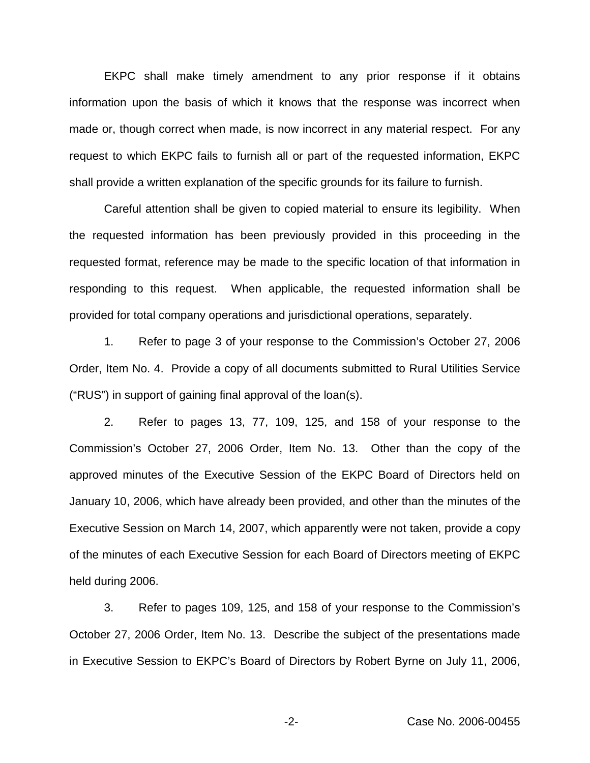EKPC shall make timely amendment to any prior response if it obtains information upon the basis of which it knows that the response was incorrect when made or, though correct when made, is now incorrect in any material respect. For any request to which EKPC fails to furnish all or part of the requested information, EKPC shall provide a written explanation of the specific grounds for its failure to furnish.

Careful attention shall be given to copied material to ensure its legibility. When the requested information has been previously provided in this proceeding in the requested format, reference may be made to the specific location of that information in responding to this request. When applicable, the requested information shall be provided for total company operations and jurisdictional operations, separately.

1. Refer to page 3 of your response to the Commission's October 27, 2006 Order, Item No. 4. Provide a copy of all documents submitted to Rural Utilities Service ("RUS") in support of gaining final approval of the loan(s).

2. Refer to pages 13, 77, 109, 125, and 158 of your response to the Commission's October 27, 2006 Order, Item No. 13. Other than the copy of the approved minutes of the Executive Session of the EKPC Board of Directors held on January 10, 2006, which have already been provided, and other than the minutes of the Executive Session on March 14, 2007, which apparently were not taken, provide a copy of the minutes of each Executive Session for each Board of Directors meeting of EKPC held during 2006.

3. Refer to pages 109, 125, and 158 of your response to the Commission's October 27, 2006 Order, Item No. 13. Describe the subject of the presentations made in Executive Session to EKPC's Board of Directors by Robert Byrne on July 11, 2006,